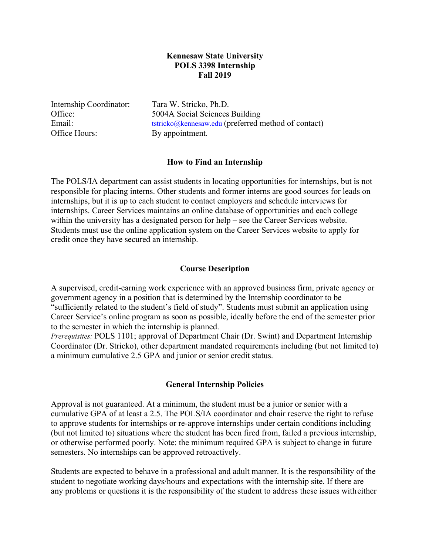# **Kennesaw State University POLS 3398 Internship Fall 2019**

Internship Coordinator: Tara W. Stricko, Ph.D. Office Hours: By appointment.

Office: 5004A Social Sciences Building Email: tstricko@kennesaw.edu (preferred method of contact)

## **How to Find an Internship**

The POLS/IA department can assist students in locating opportunities for internships, but is not responsible for placing interns. Other students and former interns are good sources for leads on internships, but it is up to each student to contact employers and schedule interviews for internships. Career Services maintains an online database of opportunities and each college within the university has a designated person for help – see the Career Services website. Students must use the online application system on the Career Services website to apply for credit once they have secured an internship.

# **Course Description**

A supervised, credit-earning work experience with an approved business firm, private agency or government agency in a position that is determined by the Internship coordinator to be "sufficiently related to the student's field of study". Students must submit an application using Career Service's online program as soon as possible, ideally before the end of the semester prior to the semester in which the internship is planned.

*Prerequisites:* POLS 1101; approval of Department Chair (Dr. Swint) and Department Internship Coordinator (Dr. Stricko), other department mandated requirements including (but not limited to) a minimum cumulative 2.5 GPA and junior or senior credit status.

## **General Internship Policies**

Approval is not guaranteed. At a minimum, the student must be a junior or senior with a cumulative GPA of at least a 2.5. The POLS/IA coordinator and chair reserve the right to refuse to approve students for internships or re-approve internships under certain conditions including (but not limited to) situations where the student has been fired from, failed a previous internship, or otherwise performed poorly. Note: the minimum required GPA is subject to change in future semesters. No internships can be approved retroactively.

Students are expected to behave in a professional and adult manner. It is the responsibility of the student to negotiate working days/hours and expectations with the internship site. If there are any problems or questions it is the responsibility of the student to address these issues witheither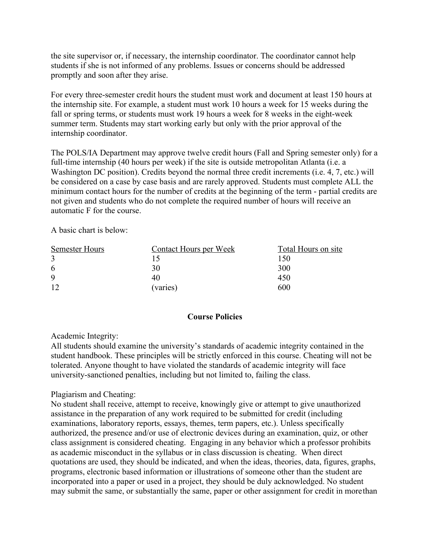the site supervisor or, if necessary, the internship coordinator. The coordinator cannot help students if she is not informed of any problems. Issues or concerns should be addressed promptly and soon after they arise.

For every three-semester credit hours the student must work and document at least 150 hours at the internship site. For example, a student must work 10 hours a week for 15 weeks during the fall or spring terms, or students must work 19 hours a week for 8 weeks in the eight-week summer term. Students may start working early but only with the prior approval of the internship coordinator.

The POLS/IA Department may approve twelve credit hours (Fall and Spring semester only) for a full-time internship (40 hours per week) if the site is outside metropolitan Atlanta (i.e. a Washington DC position). Credits beyond the normal three credit increments (i.e. 4, 7, etc.) will be considered on a case by case basis and are rarely approved. Students must complete ALL the minimum contact hours for the number of credits at the beginning of the term - partial credits are not given and students who do not complete the required number of hours will receive an automatic F for the course.

A basic chart is below:

| Semester Hours | Contact Hours per Week | Total Hours on site |
|----------------|------------------------|---------------------|
|                |                        | 150                 |
| 6              | 30                     | 300                 |
| 9              | 40                     | 450                 |
|                | (varies)               | 600                 |

# **Course Policies**

# Academic Integrity:

All students should examine the university's standards of academic integrity contained in the student handbook. These principles will be strictly enforced in this course. Cheating will not be tolerated. Anyone thought to have violated the standards of academic integrity will face university-sanctioned penalties, including but not limited to, failing the class.

# Plagiarism and Cheating:

No student shall receive, attempt to receive, knowingly give or attempt to give unauthorized assistance in the preparation of any work required to be submitted for credit (including examinations, laboratory reports, essays, themes, term papers, etc.). Unless specifically authorized, the presence and/or use of electronic devices during an examination, quiz, or other class assignment is considered cheating. Engaging in any behavior which a professor prohibits as academic misconduct in the syllabus or in class discussion is cheating. When direct quotations are used, they should be indicated, and when the ideas, theories, data, figures, graphs, programs, electronic based information or illustrations of someone other than the student are incorporated into a paper or used in a project, they should be duly acknowledged. No student may submit the same, or substantially the same, paper or other assignment for credit in morethan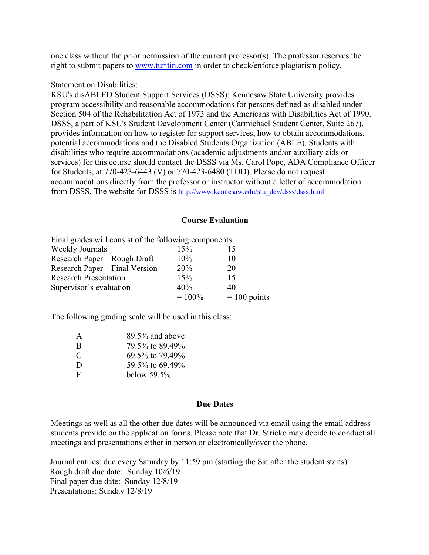one class without the prior permission of the current professor(s). The professor reserves the right to submit papers to www.turitin.com in order to check/enforce plagiarism policy.

## Statement on Disabilities:

KSU's disABLED Student Support Services (DSSS): Kennesaw State University provides program accessibility and reasonable accommodations for persons defined as disabled under Section 504 of the Rehabilitation Act of 1973 and the Americans with Disabilities Act of 1990. DSSS, a part of KSU's Student Development Center (Carmichael Student Center, Suite 267), provides information on how to register for support services, how to obtain accommodations, potential accommodations and the Disabled Students Organization (ABLE). Students with disabilities who require accommodations (academic adjustments and/or auxiliary aids or services) for this course should contact the DSSS via Ms. Carol Pope, ADA Compliance Officer for Students, at 770-423-6443 (V) or 770-423-6480 (TDD). Please do not request accommodations directly from the professor or instructor without a letter of accommodation from DSSS. The website for DSSS is http://www.kennesaw.edu/stu\_dev/dsss/dsss.html

## **Course Evaluation**

| Final grades will consist of the following components: |           |                |
|--------------------------------------------------------|-----------|----------------|
| Weekly Journals                                        | 15%       |                |
| Research Paper - Rough Draft                           | $10\%$    | 10             |
| Research Paper – Final Version                         | 20%       | 20             |
| <b>Research Presentation</b>                           | 15%       | 15             |
| Supervisor's evaluation                                | 40%       | 40             |
|                                                        | $= 100\%$ | $= 100$ points |

The following grading scale will be used in this class:

| A             | 89.5% and above |
|---------------|-----------------|
| B             | 79.5% to 89.49% |
| $\mathcal{C}$ | 69.5% to 79.49% |
| D             | 59.5% to 69.49% |
| F             | below 59.5%     |

### **Due Dates**

Meetings as well as all the other due dates will be announced via email using the email address students provide on the application forms. Please note that Dr. Stricko may decide to conduct all meetings and presentations either in person or electronically/over the phone.

 Journal entries: due every Saturday by 11:59 pm (starting the Sat after the student starts) Rough draft due date: Sunday 10/6/19 Final paper due date: Sunday 12/8/19 Presentations: Sunday 12/8/19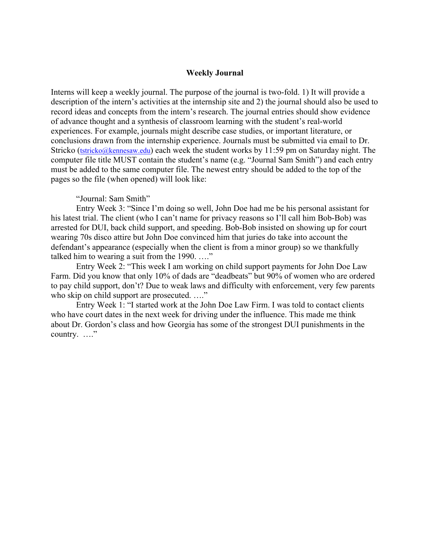### **Weekly Journal**

Interns will keep a weekly journal. The purpose of the journal is two-fold. 1) It will provide a description of the intern's activities at the internship site and 2) the journal should also be used to record ideas and concepts from the intern's research. The journal entries should show evidence of advance thought and a synthesis of classroom learning with the student's real-world experiences. For example, journals might describe case studies, or important literature, or conclusions drawn from the internship experience. Journals must be submitted via email to Dr. Stricko (tstricko@kennesaw.edu) each week the student works by 11:59 pm on Saturday night. The computer file title MUST contain the student's name (e.g. "Journal Sam Smith") and each entry must be added to the same computer file. The newest entry should be added to the top of the pages so the file (when opened) will look like:

#### "Journal: Sam Smith"

Entry Week 3: "Since I'm doing so well, John Doe had me be his personal assistant for his latest trial. The client (who I can't name for privacy reasons so I'll call him Bob-Bob) was arrested for DUI, back child support, and speeding. Bob-Bob insisted on showing up for court wearing 70s disco attire but John Doe convinced him that juries do take into account the defendant's appearance (especially when the client is from a minor group) so we thankfully talked him to wearing a suit from the 1990. …."

Entry Week 2: "This week I am working on child support payments for John Doe Law Farm. Did you know that only 10% of dads are "deadbeats" but 90% of women who are ordered to pay child support, don't? Due to weak laws and difficulty with enforcement, very few parents who skip on child support are prosecuted. ...."

Entry Week 1: "I started work at the John Doe Law Firm. I was told to contact clients who have court dates in the next week for driving under the influence. This made me think about Dr. Gordon's class and how Georgia has some of the strongest DUI punishments in the country. …."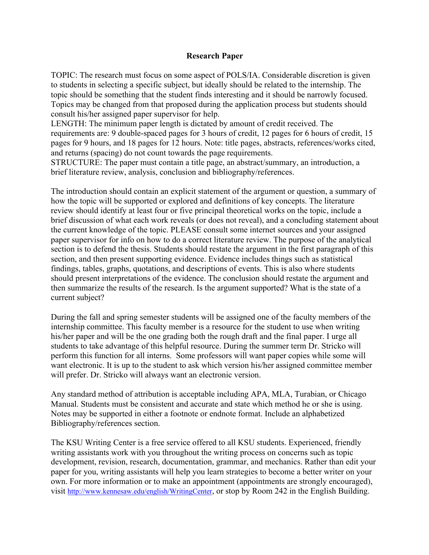# **Research Paper**

TOPIC: The research must focus on some aspect of POLS/IA. Considerable discretion is given to students in selecting a specific subject, but ideally should be related to the internship. The topic should be something that the student finds interesting and it should be narrowly focused. Topics may be changed from that proposed during the application process but students should consult his/her assigned paper supervisor for help.

LENGTH: The minimum paper length is dictated by amount of credit received. The requirements are: 9 double-spaced pages for 3 hours of credit, 12 pages for 6 hours of credit, 15 pages for 9 hours, and 18 pages for 12 hours. Note: title pages, abstracts, references/works cited, and returns (spacing) do not count towards the page requirements.

STRUCTURE: The paper must contain a title page, an abstract/summary, an introduction, a brief literature review, analysis, conclusion and bibliography/references.

The introduction should contain an explicit statement of the argument or question, a summary of how the topic will be supported or explored and definitions of key concepts. The literature review should identify at least four or five principal theoretical works on the topic, include a brief discussion of what each work reveals (or does not reveal), and a concluding statement about the current knowledge of the topic. PLEASE consult some internet sources and your assigned paper supervisor for info on how to do a correct literature review. The purpose of the analytical section is to defend the thesis. Students should restate the argument in the first paragraph of this section, and then present supporting evidence. Evidence includes things such as statistical findings, tables, graphs, quotations, and descriptions of events. This is also where students should present interpretations of the evidence. The conclusion should restate the argument and then summarize the results of the research. Is the argument supported? What is the state of a current subject?

During the fall and spring semester students will be assigned one of the faculty members of the internship committee. This faculty member is a resource for the student to use when writing his/her paper and will be the one grading both the rough draft and the final paper. I urge all students to take advantage of this helpful resource. During the summer term Dr. Stricko will perform this function for all interns. Some professors will want paper copies while some will want electronic. It is up to the student to ask which version his/her assigned committee member will prefer. Dr. Stricko will always want an electronic version.

Any standard method of attribution is acceptable including APA, MLA, Turabian, or Chicago Manual. Students must be consistent and accurate and state which method he or she is using. Notes may be supported in either a footnote or endnote format. Include an alphabetized Bibliography/references section.

The KSU Writing Center is a free service offered to all KSU students. Experienced, friendly writing assistants work with you throughout the writing process on concerns such as topic development, revision, research, documentation, grammar, and mechanics. Rather than edit your paper for you, writing assistants will help you learn strategies to become a better writer on your own. For more information or to make an appointment (appointments are strongly encouraged), visit http://www.kennesaw.edu/english/WritingCenter, or stop by Room 242 in the English Building.